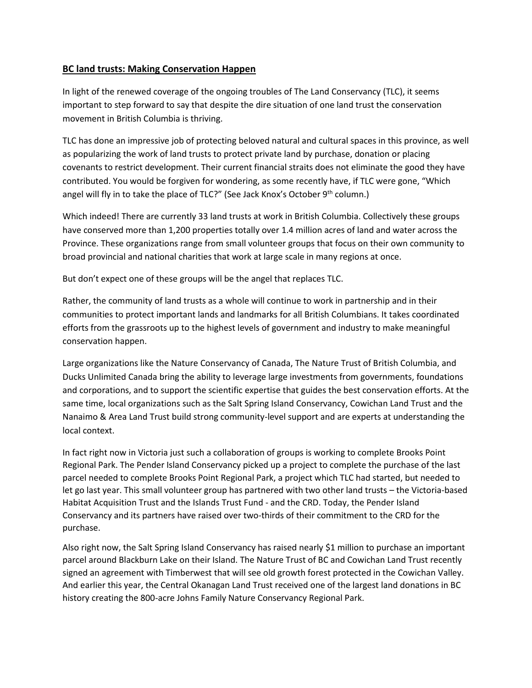## **BC land trusts: Making Conservation Happen**

In light of the renewed coverage of the ongoing troubles of The Land Conservancy (TLC), it seems important to step forward to say that despite the dire situation of one land trust the conservation movement in British Columbia is thriving.

TLC has done an impressive job of protecting beloved natural and cultural spaces in this province, as well as popularizing the work of land trusts to protect private land by purchase, donation or placing covenants to restrict development. Their current financial straits does not eliminate the good they have contributed. You would be forgiven for wondering, as some recently have, if TLC were gone, "Which angel will fly in to take the place of TLC?" (See Jack Knox's October 9<sup>th</sup> column.)

Which indeed! There are currently 33 land trusts at work in British Columbia. Collectively these groups have conserved more than 1,200 properties totally over 1.4 million acres of land and water across the Province. These organizations range from small volunteer groups that focus on their own community to broad provincial and national charities that work at large scale in many regions at once.

But don't expect one of these groups will be the angel that replaces TLC.

Rather, the community of land trusts as a whole will continue to work in partnership and in their communities to protect important lands and landmarks for all British Columbians. It takes coordinated efforts from the grassroots up to the highest levels of government and industry to make meaningful conservation happen.

Large organizations like the Nature Conservancy of Canada, The Nature Trust of British Columbia, and Ducks Unlimited Canada bring the ability to leverage large investments from governments, foundations and corporations, and to support the scientific expertise that guides the best conservation efforts. At the same time, local organizations such as the Salt Spring Island Conservancy, Cowichan Land Trust and the Nanaimo & Area Land Trust build strong community-level support and are experts at understanding the local context.

In fact right now in Victoria just such a collaboration of groups is working to complete Brooks Point Regional Park. The Pender Island Conservancy picked up a project to complete the purchase of the last parcel needed to complete Brooks Point Regional Park, a project which TLC had started, but needed to let go last year. This small volunteer group has partnered with two other land trusts – the Victoria-based Habitat Acquisition Trust and the Islands Trust Fund - and the CRD. Today, the Pender Island Conservancy and its partners have raised over two-thirds of their commitment to the CRD for the purchase.

Also right now, the Salt Spring Island Conservancy has raised nearly \$1 million to purchase an important parcel around Blackburn Lake on their Island. The Nature Trust of BC and Cowichan Land Trust recently signed an agreement with Timberwest that will see old growth forest protected in the Cowichan Valley. And earlier this year, the Central Okanagan Land Trust received one of the largest land donations in BC history creating the 800-acre Johns Family Nature Conservancy Regional Park.